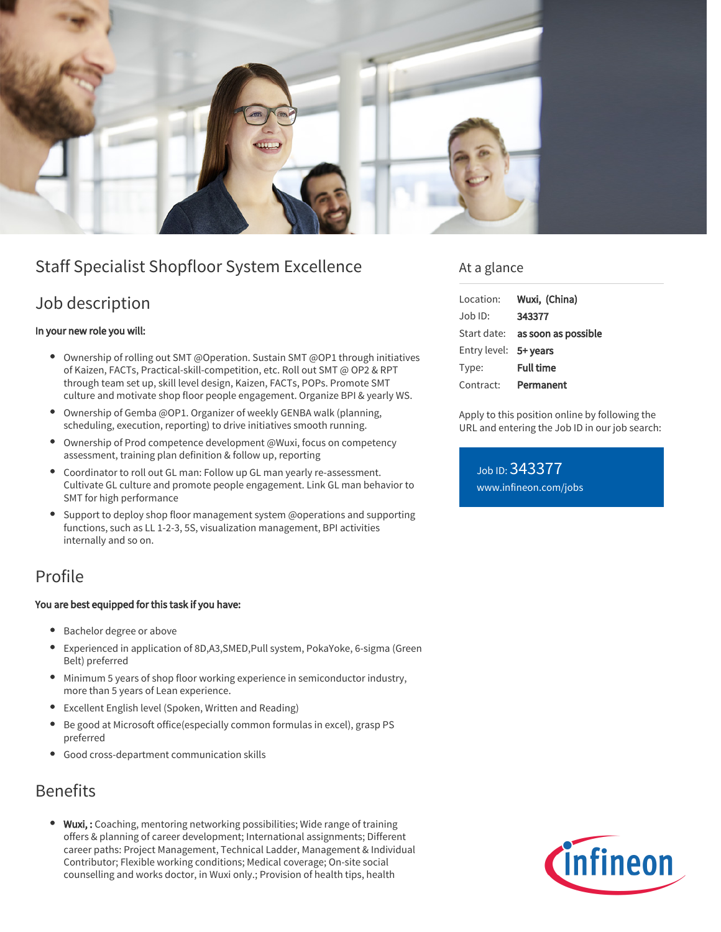

# Staff Specialist Shopfloor System Excellence

## Job description

#### In your new role you will:

- Ownership of rolling out SMT @Operation. Sustain SMT @OP1 through initiatives of Kaizen, FACTs, Practical-skill-competition, etc. Roll out SMT @ OP2 & RPT through team set up, skill level design, Kaizen, FACTs, POPs. Promote SMT culture and motivate shop floor people engagement. Organize BPI & yearly WS.
- $\bullet$ Ownership of Gemba @OP1. Organizer of weekly GENBA walk (planning, scheduling, execution, reporting) to drive initiatives smooth running.
- Ownership of Prod competence development @Wuxi, focus on competency assessment, training plan definition & follow up, reporting
- Coordinator to roll out GL man: Follow up GL man yearly re-assessment. Cultivate GL culture and promote people engagement. Link GL man behavior to SMT for high performance
- Support to deploy shop floor management system @operations and supporting functions, such as LL 1-2-3, 5S, visualization management, BPI activities internally and so on.

## Profile

#### You are best equipped for this task if you have:

- **Bachelor degree or above**
- Experienced in application of 8D,A3,SMED,Pull system, PokaYoke, 6-sigma (Green Belt) preferred
- Minimum 5 years of shop floor working experience in semiconductor industry, more than 5 years of Lean experience.
- Excellent English level (Spoken, Written and Reading)
- Be good at Microsoft office(especially common formulas in excel), grasp PS preferred
- Good cross-department communication skills

# Benefits

• Wuxi,: Coaching, mentoring networking possibilities; Wide range of training offers & planning of career development; International assignments; Different career paths: Project Management, Technical Ladder, Management & Individual Contributor; Flexible working conditions; Medical coverage; On-site social counselling and works doctor, in Wuxi only.; Provision of health tips, health

### At a glance

| Location:             | Wuxi, (China)                          |
|-----------------------|----------------------------------------|
| $Job$ ID:             | 343377                                 |
|                       | Start date: <b>as soon as possible</b> |
| Entry level: 5+ years |                                        |
| Type:                 | <b>Full time</b>                       |
| Contract:             | Permanent                              |

Apply to this position online by following the URL and entering the Job ID in our job search:

Job ID: 343377 [www.infineon.com/jobs](https://www.infineon.com/jobs)